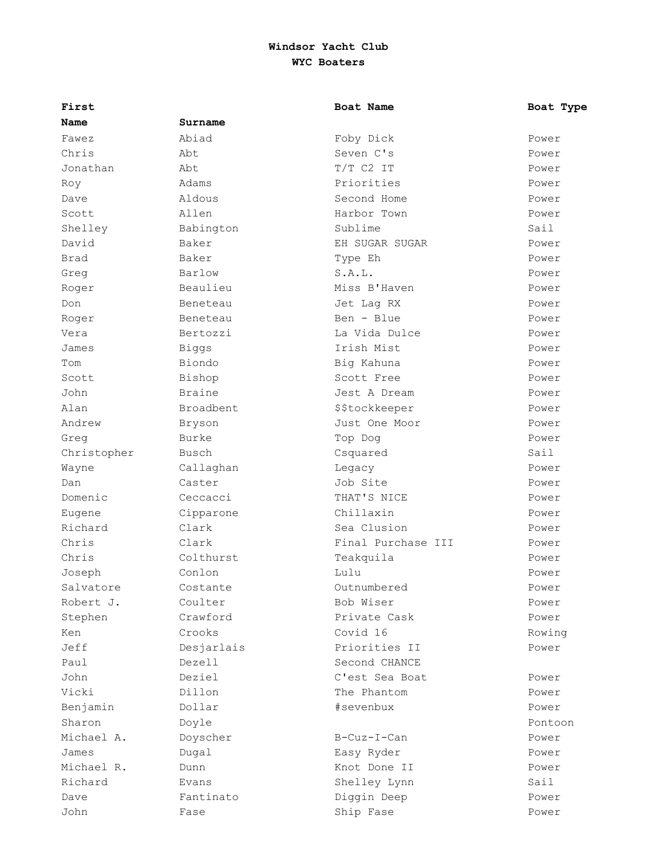| First       |            | Boat Name          | Boat Type |
|-------------|------------|--------------------|-----------|
| Name        | Surname    |                    |           |
| Fawez       | Abiad      | Foby Dick          | Power     |
| Chris       | Abt        | Seven C's          | Power     |
| Jonathan    | Abt        | $T/T$ C2 IT        | Power     |
| Roy         | Adams      | Priorities         | Power     |
| Dave        | Aldous     | Second Home        | Power     |
| Scott       | Allen      | Harbor Town        | Power     |
| Shelley     | Babington  | Sublime            | Sail      |
| David       | Baker      | EH SUGAR SUGAR     | Power     |
| Brad        | Baker      | Type Eh            | Power     |
| Greg        | Barlow     | S.A.L.             | Power     |
| Roger       | Beaulieu   | Miss B'Haven       | Power     |
| Don         | Beneteau   | Jet Lag RX         | Power     |
| Roger       | Beneteau   | $Ben - Blue$       | Power     |
| Vera        | Bertozzi   | La Vida Dulce      | Power     |
| James       | Biggs      | Irish Mist         | Power     |
| Tom         | Biondo     | Big Kahuna         | Power     |
| Scott       | Bishop     | Scott Free         | Power     |
| John        | Braine     | Jest A Dream       | Power     |
| Alan        | Broadbent  | \$\$tockkeeper     | Power     |
| Andrew      | Bryson     | Just One Moor      | Power     |
| Greg        | Burke      | Top Dog            | Power     |
| Christopher | Busch      | Csquared           | Sail      |
| Wayne       | Callaghan  | Legacy             | Power     |
| Dan         | Caster     | Job Site           | Power     |
| Domenic     | Ceccacci   | THAT'S NICE        | Power     |
| Eugene      | Cipparone  | Chillaxin          | Power     |
| Richard     | Clark      | Sea Clusion        | Power     |
| Chris       | Clark      | Final Purchase III | Power     |
| Chris       | Colthurst  | Teakquila          | Power     |
| Joseph      | Conlon     | Lulu               | Power     |
| Salvatore   | Costante   | Outnumbered        | Power     |
| Robert J.   | Coulter    | Bob Wiser          | Power     |
| Stephen     | Crawford   | Private Cask       | Power     |
| Ken         | Crooks     | Covid 16           | Rowing    |
| Jeff        | Desjarlais | Priorities II      | Power     |
| Paul        | Dezell     | Second CHANCE      |           |
| John        | Deziel     | C'est Sea Boat     | Power     |
| Vicki       | Dillon     | The Phantom        | Power     |
| Benjamin    | Dollar     | #sevenbux          | Power     |
| Sharon      | Doyle      |                    | Pontoon   |
| Michael A.  | Doyscher   | B-Cuz-I-Can        | Power     |
| James       | Dugal      | Easy Ryder         | Power     |
| Michael R.  | Dunn       | Knot Done II       | Power     |
| Richard     | Evans      | Shelley Lynn       | Sail      |
| Dave        | Fantinato  | Diggin Deep        | Power     |
| John        | Fase       | Ship Fase          | Power     |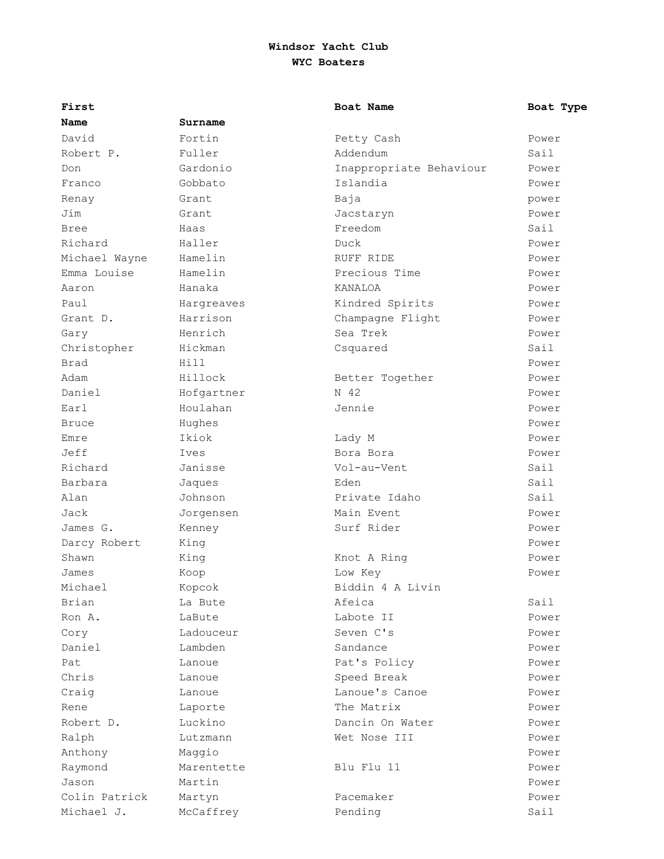| First         |            | Boat Name               | Boat Type |
|---------------|------------|-------------------------|-----------|
| Name          | Surname    |                         |           |
| David         | Fortin     | Petty Cash              | Power     |
| Robert P.     | Fuller     | Addendum                | Sail      |
| Don           | Gardonio   | Inappropriate Behaviour | Power     |
| Franco        | Gobbato    | Islandia                | Power     |
| Renay         | Grant      | Baja                    | power     |
| Jim           | Grant      | Jacstaryn               | Power     |
| <b>Bree</b>   | Haas       | Freedom                 | Sail      |
| Richard       | Haller     | Duck                    | Power     |
| Michael Wayne | Hamelin    | RUFF RIDE               | Power     |
| Emma Louise   | Hamelin    | Precious Time           | Power     |
| Aaron         | Hanaka     | KANALOA                 | Power     |
| Paul          | Hargreaves | Kindred Spirits         | Power     |
| Grant D.      | Harrison   | Champagne Flight        | Power     |
| Gary          | Henrich    | Sea Trek                | Power     |
| Christopher   | Hickman    | Csquared                | Sail      |
| Brad          | Hill       |                         | Power     |
| Adam          | Hillock    | Better Together         | Power     |
| Daniel        | Hofgartner | N 42                    | Power     |
| Earl          | Houlahan   | Jennie                  | Power     |
| <b>Bruce</b>  | Hughes     |                         | Power     |
| Emre          | Ikiok      | Lady M                  | Power     |
| Jeff          | Ives       | Bora Bora               | Power     |
| Richard       | Janisse    | Vol-au-Vent             | Sail      |
| Barbara       | Jaques     | Eden                    | Sail      |
| Alan          | Johnson    | Private Idaho           | Sail      |
| Jack          | Jorgensen  | Main Event              | Power     |
| James G.      | Kenney     | Surf Rider              | Power     |
| Darcy Robert  | King       |                         | Power     |
| Shawn         | King       | Knot A Ring             | Power     |
| James         | Koop       | Low Key                 | Power     |
| Michael       | Kopcok     | Biddin 4 A Livin        |           |
| Brian         | La Bute    | Afeica                  | Sail      |
| Ron A.        | LaBute     | Labote II               | Power     |
| Cory          | Ladouceur  | Seven C's               | Power     |
| Daniel        | Lambden    | Sandance                | Power     |
| Pat           | Lanoue     | Pat's Policy            | Power     |
| Chris         | Lanoue     | Speed Break             | Power     |
| Craig         | Lanoue     | Lanoue's Canoe          | Power     |
| Rene          | Laporte    | The Matrix              | Power     |
| Robert D.     | Luckino    | Dancin On Water         | Power     |
| Ralph         | Lutzmann   | Wet Nose III            | Power     |
| Anthony       | Maggio     |                         | Power     |
| Raymond       | Marentette | Blu Flu 11              | Power     |
| Jason         | Martin     |                         | Power     |
| Colin Patrick | Martyn     | Pacemaker               | Power     |
| Michael J.    | McCaffrey  | Pending                 | Sail      |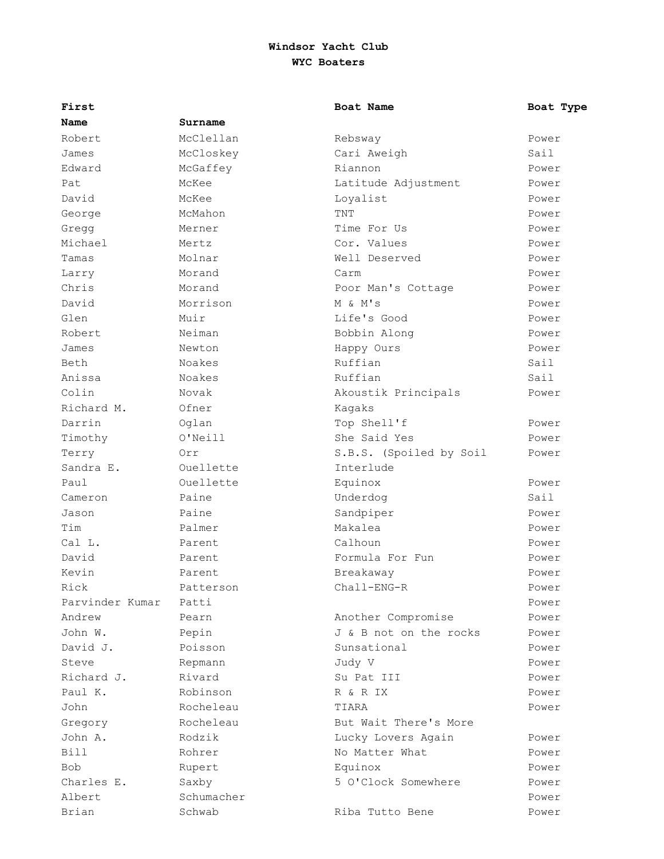| First           |            | Boat Name               | Boat Type |
|-----------------|------------|-------------------------|-----------|
| Name            | Surname    |                         |           |
| Robert.         | McClellan  | Rebsway                 | Power     |
| James           | McCloskey  | Cari Aweigh             | Sail      |
| Edward          | McGaffey   | Riannon                 | Power     |
| Pat             | McKee      | Latitude Adjustment     | Power     |
| David           | McKee      | Loyalist                | Power     |
| George          | McMahon    | TNT                     | Power     |
| Gregg           | Merner     | Time For Us             | Power     |
| Michael         | Mertz      | Cor. Values             | Power     |
| Tamas           | Molnar     | Well Deserved           | Power     |
| Larry           | Morand     | Carm                    | Power     |
| Chris           | Morand     | Poor Man's Cottage      | Power     |
| David           | Morrison   | M & M's                 | Power     |
| Glen            | Muir       | Life's Good             | Power     |
| Robert          | Neiman     | Bobbin Along            | Power     |
| James           | Newton     | Happy Ours              | Power     |
| Beth            | Noakes     | Ruffian                 | Sail      |
| Anissa          | Noakes     | Ruffian                 | Sail      |
| Colin           | Novak      | Akoustik Principals     | Power     |
| Richard M.      | Ofner      | Kagaks                  |           |
| Darrin          | Oglan      | Top Shell'f             | Power     |
| Timothy         | O'Neill    | She Said Yes            | Power     |
| Terry           | Orr        | S.B.S. (Spoiled by Soil | Power     |
| Sandra E.       | Ouellette  | Interlude               |           |
| Paul            | Ouellette  | Equinox                 | Power     |
| Cameron         | Paine      | Underdog                | Sail      |
| Jason           | Paine      | Sandpiper               | Power     |
| Tim             | Palmer     | Makalea                 | Power     |
| Cal L.          | Parent     | Calhoun                 | Power     |
| David           | Parent     | Formula For Fun         | Power     |
| Kevin           | Parent     | Breakaway               | Power     |
| Rick            | Patterson  | Chall-ENG-R             | Power     |
| Parvinder Kumar | Patti      |                         | Power     |
| Andrew          | Pearn      | Another Compromise      | Power     |
| John W.         | Pepin      | J & B not on the rocks  | Power     |
| David J.        | Poisson    | Sunsational             | Power     |
| Steve           | Repmann    | Judy V                  | Power     |
| Richard J.      | Rivard     | Su Pat III              | Power     |
| Paul K.         | Robinson   | R & R IX                | Power     |
| John            | Rocheleau  | TIARA                   | Power     |
| Gregory         | Rocheleau  | But Wait There's More   |           |
| John A.         | Rodzik     | Lucky Lovers Again      | Power     |
| <b>Bill</b>     | Rohrer     | No Matter What          | Power     |
| <b>Bob</b>      | Rupert     | Equinox                 | Power     |
| Charles E.      | Saxby      | 5 O'Clock Somewhere     | Power     |
| Albert          | Schumacher |                         | Power     |
| Brian           | Schwab     | Riba Tutto Bene         | Power     |